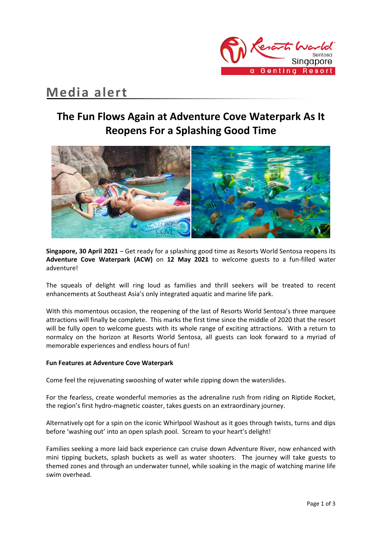

# **Media alert**

# **The Fun Flows Again at Adventure Cove Waterpark As It Reopens For a Splashing Good Time**



**Singapore, 30 April 2021** – Get ready for a splashing good time as Resorts World Sentosa reopens its **Adventure Cove Waterpark (ACW)** on **12 May 2021** to welcome guests to a fun-filled water adventure!

The squeals of delight will ring loud as families and thrill seekers will be treated to recent enhancements at Southeast Asia's only integrated aquatic and marine life park.

With this momentous occasion, the reopening of the last of Resorts World Sentosa's three marquee attractions will finally be complete. This marks the first time since the middle of 2020 that the resort will be fully open to welcome guests with its whole range of exciting attractions. With a return to normalcy on the horizon at Resorts World Sentosa, all guests can look forward to a myriad of memorable experiences and endless hours of fun!

### **Fun Features at Adventure Cove Waterpark**

Come feel the rejuvenating swooshing of water while zipping down the waterslides.

For the fearless, create wonderful memories as the adrenaline rush from riding on Riptide Rocket, the region's first hydro-magnetic coaster, takes guests on an extraordinary journey.

Alternatively opt for a spin on the iconic Whirlpool Washout as it goes through twists, turns and dips before 'washing out' into an open splash pool. Scream to your heart's delight!

Families seeking a more laid back experience can cruise down Adventure River, now enhanced with mini tipping buckets, splash buckets as well as water shooters. The journey will take guests to themed zones and through an underwater tunnel, while soaking in the magic of watching marine life swim overhead.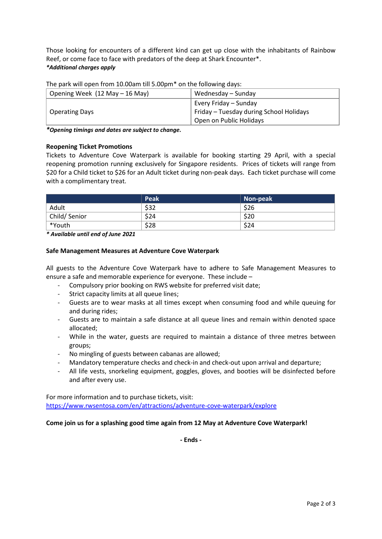Those looking for encounters of a different kind can get up close with the inhabitants of Rainbow Reef, or come face to face with predators of the deep at Shark Encounter\*. *\*Additional charges apply*

| Opening Week (12 May – 16 May) | Wednesday – Sunday                      |  |
|--------------------------------|-----------------------------------------|--|
|                                | Every Friday – Sunday                   |  |
| <b>Operating Days</b>          | Friday – Tuesday during School Holidays |  |
|                                | Open on Public Holidays                 |  |

The park will open from 10.00am till 5.00pm\* on the following days:

*\*Opening timings and dates are subject to change.* 

### **Reopening Ticket Promotions**

Tickets to Adventure Cove Waterpark is available for booking starting 29 April, with a special reopening promotion running exclusively for Singapore residents. Prices of tickets will range from \$20 for a Child ticket to \$26 for an Adult ticket during non-peak days. Each ticket purchase will come with a complimentary treat.

|              | Peak | Non-peak |
|--------------|------|----------|
| Adult        | \$32 | \$26     |
| Child/Senior | \$24 | \$20     |
| *Youth       | \$28 | \$24     |

*\* Available until end of June 2021*

#### **Safe Management Measures at Adventure Cove Waterpark**

All guests to the Adventure Cove Waterpark have to adhere to Safe Management Measures to ensure a safe and memorable experience for everyone. These include –

- Compulsory prior booking on RWS website for preferred visit date;
- Strict capacity limits at all queue lines;
- Guests are to wear masks at all times except when consuming food and while queuing for and during rides;
- Guests are to maintain a safe distance at all queue lines and remain within denoted space allocated;
- While in the water, guests are required to maintain a distance of three metres between groups;
- No mingling of guests between cabanas are allowed;
- Mandatory temperature checks and check-in and check-out upon arrival and departure;
- All life vests, snorkeling equipment, goggles, gloves, and booties will be disinfected before and after every use.

For more information and to purchase tickets, visit: <https://www.rwsentosa.com/en/attractions/adventure-cove-waterpark/explore>

### **Come join us for a splashing good time again from 12 May at Adventure Cove Waterpark!**

**- Ends -**